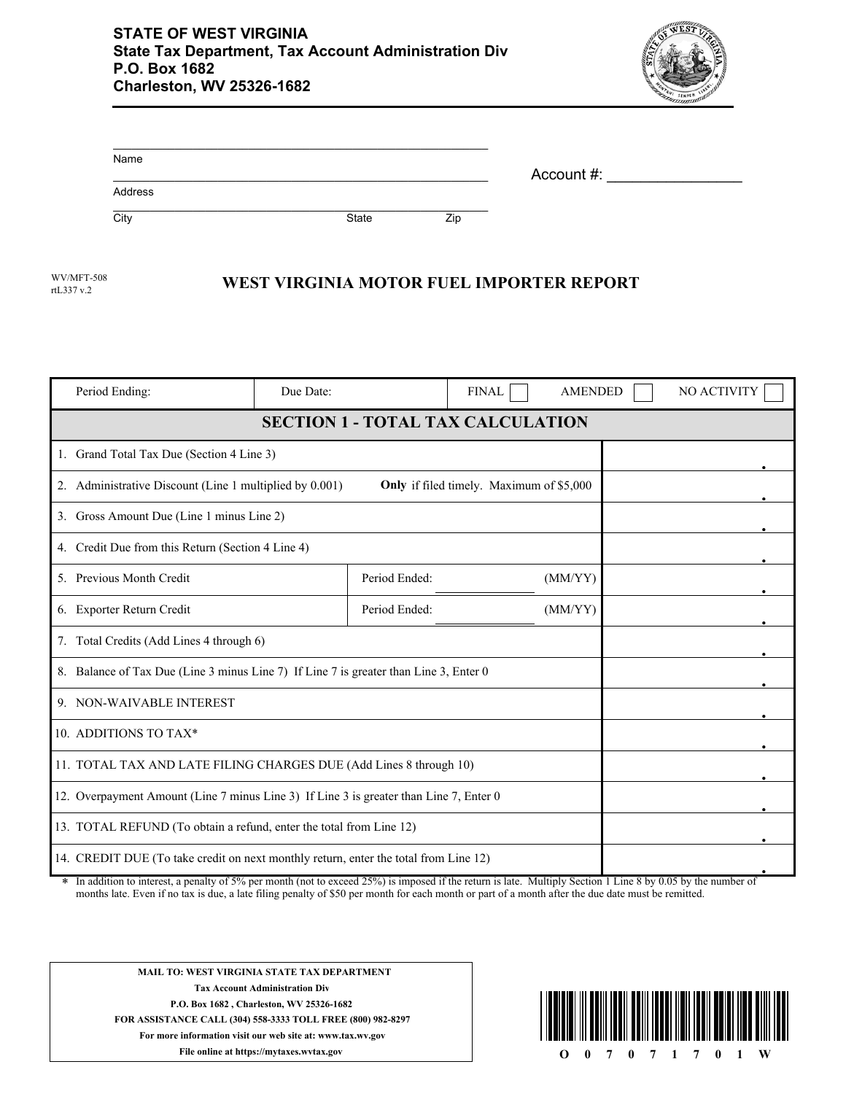

| Name    |       |     |            |  |
|---------|-------|-----|------------|--|
| Address |       |     | Account #: |  |
| City    | State | Zip |            |  |

rtL337 v.2

## WV/MFT-508 **WEST VIRGINIA MOTOR FUEL IMPORTER REPORT**

| Period Ending:                                                                                                                                                                                                                                                              | Due Date: |               | <b>FINAL</b> | <b>AMENDED</b> |        | NO ACTIVITY |
|-----------------------------------------------------------------------------------------------------------------------------------------------------------------------------------------------------------------------------------------------------------------------------|-----------|---------------|--------------|----------------|--------|-------------|
| <b>SECTION 1 - TOTAL TAX CALCULATION</b>                                                                                                                                                                                                                                    |           |               |              |                |        |             |
| 1. Grand Total Tax Due (Section 4 Line 3)                                                                                                                                                                                                                                   |           |               |              |                |        |             |
| 2. Administrative Discount (Line 1 multiplied by 0.001)<br>Only if filed timely. Maximum of \$5,000                                                                                                                                                                         |           |               |              |                |        |             |
| 3. Gross Amount Due (Line 1 minus Line 2)                                                                                                                                                                                                                                   |           |               |              |                |        |             |
| 4. Credit Due from this Return (Section 4 Line 4)                                                                                                                                                                                                                           |           |               |              |                |        |             |
| 5. Previous Month Credit                                                                                                                                                                                                                                                    |           | Period Ended: |              | (MM/YY)        |        |             |
| 6. Exporter Return Credit                                                                                                                                                                                                                                                   |           | Period Ended: |              | (MM/YY)        |        |             |
| 7. Total Credits (Add Lines 4 through 6)                                                                                                                                                                                                                                    |           |               |              |                |        |             |
| 8. Balance of Tax Due (Line 3 minus Line 7) If Line 7 is greater than Line 3, Enter 0                                                                                                                                                                                       |           |               |              |                |        |             |
| 9. NON-WAIVABLE INTEREST                                                                                                                                                                                                                                                    |           |               |              |                |        |             |
| 10. ADDITIONS TO TAX*                                                                                                                                                                                                                                                       |           |               |              |                |        |             |
| 11. TOTAL TAX AND LATE FILING CHARGES DUE (Add Lines 8 through 10)                                                                                                                                                                                                          |           |               |              |                |        |             |
| 12. Overpayment Amount (Line 7 minus Line 3) If Line 3 is greater than Line 7, Enter 0                                                                                                                                                                                      |           |               |              |                |        |             |
| 13. TOTAL REFUND (To obtain a refund, enter the total from Line 12)                                                                                                                                                                                                         |           |               |              |                |        |             |
| 14. CREDIT DUE (To take credit on next monthly return, enter the total from Line 12)<br>$-1.250/2$<br>8. The cold behavior for the color<br>$-14.7.561$<br>المتحدث المقاطعات كالقصام والمنادر<br>1.24.<br>$M_{\odot}$ 14 $\ddot{\circ}$ 1 $\ddot{\circ}$ 0 $\ddot{\circ}$ 4 |           |               |              |                | 0.0511 |             |

In addition to interest, a penalty of 5% per month (not to exceed 25%) is imposed if the return is late. Multiply Section 1 Line 8 by 0.05 by the number of months late. Even if no tax is due, a late filing penalty of \$50 per month for each month or part of a month after the due date must be remitted. \*



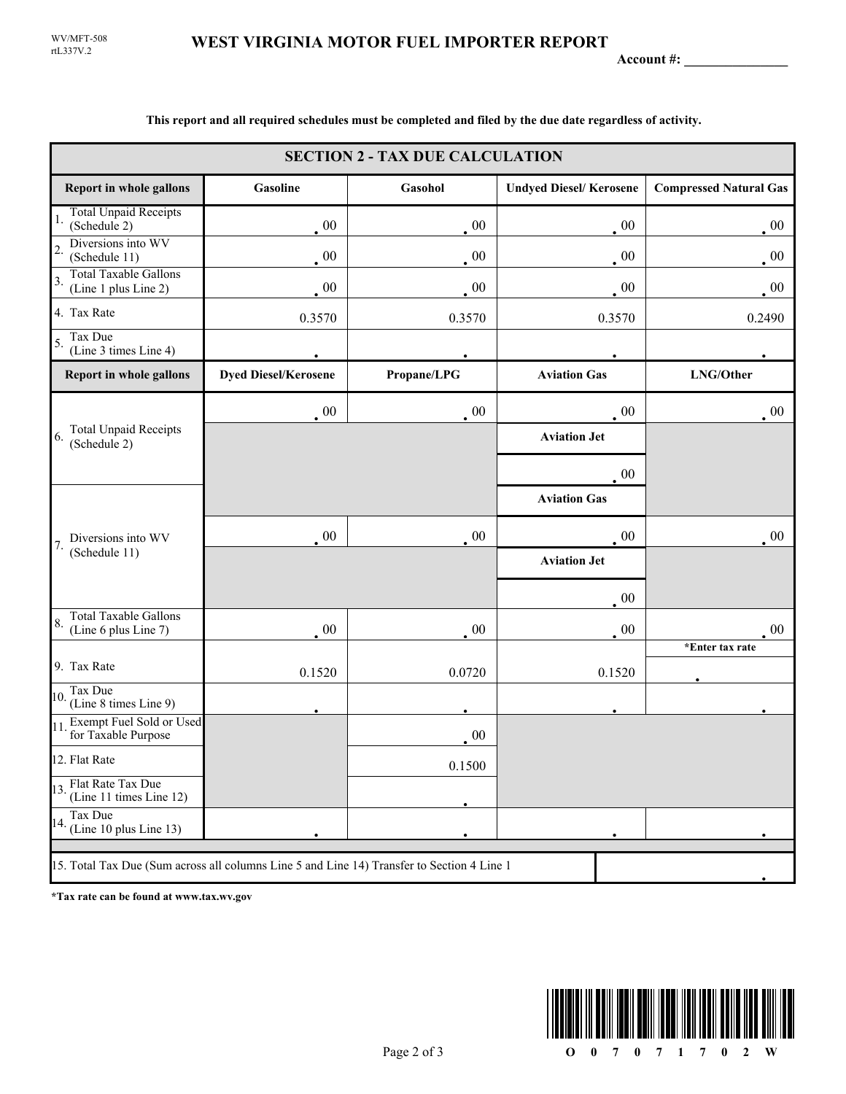**Account #: \_\_\_\_\_\_\_\_\_\_\_\_\_\_\_**

| <b>SECTION 2 - TAX DUE CALCULATION</b>                                                     |                                                                                             |             |                               |                               |  |
|--------------------------------------------------------------------------------------------|---------------------------------------------------------------------------------------------|-------------|-------------------------------|-------------------------------|--|
| <b>Report in whole gallons</b>                                                             | Gasoline                                                                                    | Gasohol     | <b>Undyed Diesel/Kerosene</b> | <b>Compressed Natural Gas</b> |  |
| <b>Total Unpaid Receipts</b><br>1.<br>(Schedule 2)                                         | $00\,$                                                                                      | $00\,$      | $\cdot$ 00                    | $00\,$                        |  |
| Diversions into WV<br>$\overline{2}$<br>(Schedule 11)                                      | 00                                                                                          | $00\,$      | $00\,$                        | $00\,$                        |  |
| <b>Total Taxable Gallons</b><br>3.<br>(Line 1 plus Line 2)                                 | 00                                                                                          | 00          | 00                            | $\cdot$ 00                    |  |
| 4. Tax Rate                                                                                | 0.3570                                                                                      | 0.3570      | 0.3570                        | 0.2490                        |  |
| Tax Due<br>5.<br>(Line 3 times Line 4)                                                     |                                                                                             |             |                               |                               |  |
| Report in whole gallons                                                                    | <b>Dyed Diesel/Kerosene</b>                                                                 | Propane/LPG | <b>Aviation Gas</b>           | LNG/Other                     |  |
| <b>Total Unpaid Receipts</b><br>6.<br>(Schedule 2)                                         | $\sim 00$                                                                                   | 00          | $00\,$                        | $\cdot$ 00                    |  |
|                                                                                            |                                                                                             |             | <b>Aviation Jet</b>           |                               |  |
|                                                                                            |                                                                                             |             | 00                            |                               |  |
|                                                                                            |                                                                                             |             | <b>Aviation Gas</b>           |                               |  |
| Diversions into WV                                                                         | 00                                                                                          | 00          | $00\,$                        | $00\,$                        |  |
|                                                                                            | <b>Aviation Jet</b><br>$00\,$<br>00<br>$00\,$<br>$00\,$<br>0.0720<br>0.1520<br>0.1520<br>00 |             |                               |                               |  |
| 7.<br>(Schedule 11)                                                                        |                                                                                             |             |                               |                               |  |
| <b>Total Taxable Gallons</b><br>8.<br>(Line 6 plus Line 7)                                 |                                                                                             |             |                               | 00                            |  |
| 9. Tax Rate                                                                                |                                                                                             |             |                               | *Enter tax rate               |  |
| Tax Due                                                                                    |                                                                                             |             |                               |                               |  |
| 10.<br>(Line 8 times Line 9)                                                               |                                                                                             |             |                               |                               |  |
| Exempt Fuel Sold or Used<br>11<br>for Taxable Purpose                                      |                                                                                             |             |                               |                               |  |
| 12. Flat Rate                                                                              |                                                                                             | 0.1500      |                               |                               |  |
| 13. Flat Rate Tax Due<br>(Line 11 times Line 12)                                           |                                                                                             |             |                               |                               |  |
| Tax Due<br>$14.$ (Line 10 plus Line 13)                                                    |                                                                                             |             |                               |                               |  |
| 15. Total Tax Due (Sum across all columns Line 5 and Line 14) Transfer to Section 4 Line 1 |                                                                                             |             |                               |                               |  |

**This report and all required schedules must be completed and filed by the due date regardless of activity.**

**\*Tax rate can be found at www.tax.wv.gov**